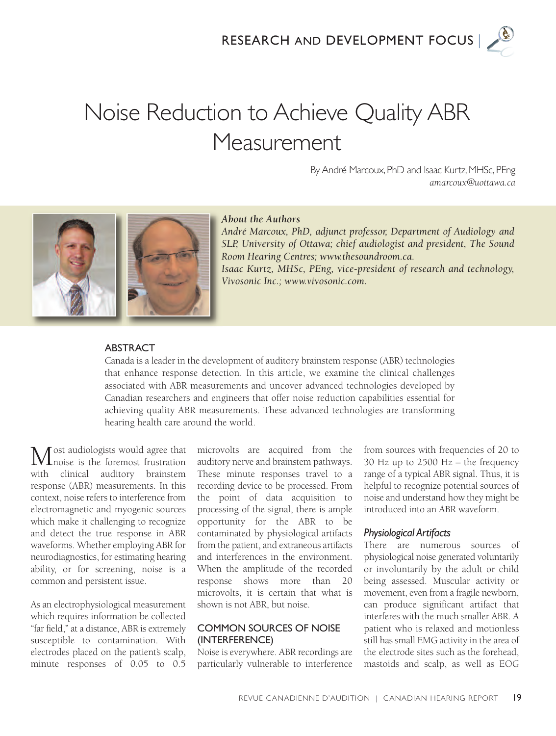

# Noise Reduction to Achieve Quality ABR Measurement

By André Marcoux, PhD and Isaac Kurtz, MHSc, PEng *amarcoux@uottawa.ca*



#### *About the Authors*

*André Marcoux, PhD, adjunct professor, Department of Audiology and SLP, University of Ottawa; chief audiologist and president, The Sound Room Hearing Centres; www.thesoundroom.ca. Isaac Kurtz, MHSc, PEng, vice-president of research and technology, Vivosonic Inc.; www.vivosonic.com.*

#### **ABSTRACT**

Canada is a leader in the development of auditory brainstem response (ABR) technologies that enhance response detection. In this article, we examine the clinical challenges associated with ABR measurements and uncover advanced technologies developed by Canadian researchers and engineers that offer noise reduction capabilities essential for achieving quality ABR measurements. These advanced technologies are transforming hearing health care around the world.

ost audiologists would agree that Inoise is the foremost frustration with clinical auditory brainstem response (ABR) measurements. In this context, noise refers to interference from electromagnetic and myogenic sources which make it challenging to recognize and detect the true response in ABR waveforms. Whether employing ABR for neurodiagnostics, for estimating hearing ability, or for screening, noise is a common and persistent issue.

As an electrophysiological measurement which requires information be collected "far field," at a distance, ABR is extremely susceptible to contamination. With electrodes placed on the patient's scalp, minute responses of 0.05 to 0.5

microvolts are acquired from the auditory nerve and brainstem pathways. These minute responses travel to a recording device to be processed. From the point of data acquisition to processing of the signal, there is ample opportunity for the ABR to be contaminated by physiological artifacts from the patient, and extraneous artifacts and interferences in the environment. When the amplitude of the recorded response shows more than 20 microvolts, it is certain that what is shown is not ABR, but noise.

#### CoMMon sourCes of noise (interferenCe)

Noise is everywhere. ABR recordings are particularly vulnerable to interference

from sources with frequencies of 20 to 30 Hz up to  $2500$  Hz – the frequency range of a typical ABR signal. Thus, it is helpful to recognize potential sources of noise and understand how they might be introduced into an ABR waveform.

#### *Physiological Artifacts*

There are numerous sources of physiological noise generated voluntarily or involuntarily by the adult or child being assessed. Muscular activity or movement, even from a fragile newborn, can produce significant artifact that interferes with the much smaller ABR. A patient who is relaxed and motionless still has small EMG activity in the area of the electrode sites such as the forehead, mastoids and scalp, as well as EOG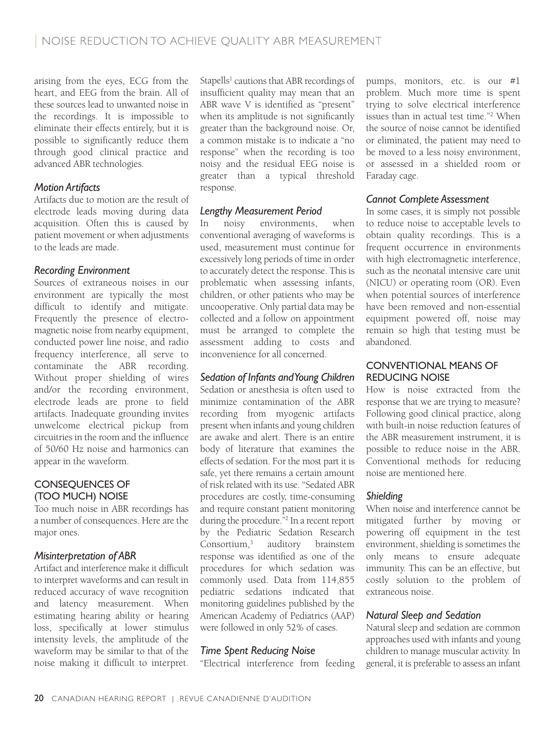arising from the eyes, ECG from the heart, and EEG from the brain. All of these sources lead to unwanted noise in the recordings. It is impossible to eliminate their effects entirely, but it is possible to significantly reduce them through good clinical practice and advanced ABR technologies.

# *Motion Artifacts*

Artifacts due to motion are the result of electrode leads moving during data acquisition. Often this is caused by patient movement or when adjustments to the leads are made.

# *Recording Environment*

Sources of extraneous noises in our environment are typically the most difficult to identify and mitigate. Frequently the presence of electromagnetic noise from nearby equipment, conducted power line noise, and radio frequency interference, all serve to contaminate the ABR recording. Without proper shielding of wires and/or the recording environment, electrode leads are prone to field artifacts. Inadequate grounding invites unwelcome electrical pickup from circuitries in the room and the influence of 50/60 Hz noise and harmonics can appear in the waveform.

# ConseQuenCes of (too MuCh) noise

Too much noise in ABR recordings has a number of consequences. Here are the major ones.

# *Misinterpretation of ABR*

Artifact and interference make it difficult to interpret waveforms and can result in reduced accuracy of wave recognition and latency measurement. When estimating hearing ability or hearing loss, specifically at lower stimulus intensity levels, the amplitude of the waveform may be similar to that of the noise making it difficult to interpret.

Stapells<sup>1</sup> cautions that ABR recordings of insufficient quality may mean that an ABR wave V is identified as "present" when its amplitude is not significantly greater than the background noise. Or, a common mistake is to indicate a "no response" when the recording is too noisy and the residual EEG noise is greater than a typical threshold response.

# *Lengthy Measurement Period*

In noisy environments, when conventional averaging of waveforms is used, measurement must continue for excessively long periods of time in order to accurately detect the response. This is problematic when assessing infants, children, or other patients who may be uncooperative. Only partial data may be collected and a follow on appointment must be arranged to complete the assessment adding to costs and inconvenience for all concerned.

# *Sedation of Infants and Young Children*

Sedation or anesthesia is often used to minimize contamination of the ABR recording from myogenic artifacts present when infants and young children are awake and alert. There is an entire body of literature that examines the effects of sedation. For the most part it is safe, yet there remains a certain amount of risk related with its use. "Sedated ABR procedures are costly, time-consuming and require constant patient monitoring during the procedure."2 In a recent report by the Pediatric Sedation Research Consortium,3 auditory brainstem response was identified as one of the procedures for which sedation was commonly used. Data from 114,855 pediatric sedations indicated that monitoring guidelines published by the American Academy of Pediatrics (AAP) were followed in only 52% of cases.

# *Time Spent Reducing Noise*

"Electrical interference from feeding

pumps, monitors, etc. is our #1 problem. Much more time is spent trying to solve electrical interference issues than in actual test time."2 When the source of noise cannot be identified or eliminated, the patient may need to be moved to a less noisy environment, or assessed in a shielded room or Faraday cage.

# *Cannot Complete Assessment*

In some cases, it is simply not possible to reduce noise to acceptable levels to obtain quality recordings. This is a frequent occurrence in environments with high electromagnetic interference, such as the neonatal intensive care unit (NICU) or operating room (OR). Even when potential sources of interference have been removed and non-essential equipment powered off, noise may remain so high that testing must be abandoned.

#### ConventionaL Means of reduCing noise

How is noise extracted from the response that we are trying to measure? Following good clinical practice, along with built-in noise reduction features of the ABR measurement instrument, it is possible to reduce noise in the ABR. Conventional methods for reducing noise are mentioned here.

# *Shielding*

When noise and interference cannot be mitigated further by moving or powering off equipment in the test environment, shielding is sometimes the only means to ensure adequate immunity. This can be an effective, but costly solution to the problem of extraneous noise.

# *Natural Sleep and Sedation*

Natural sleep and sedation are common approaches used with infants and young children to manage muscular activity. In general, it is preferable to assess an infant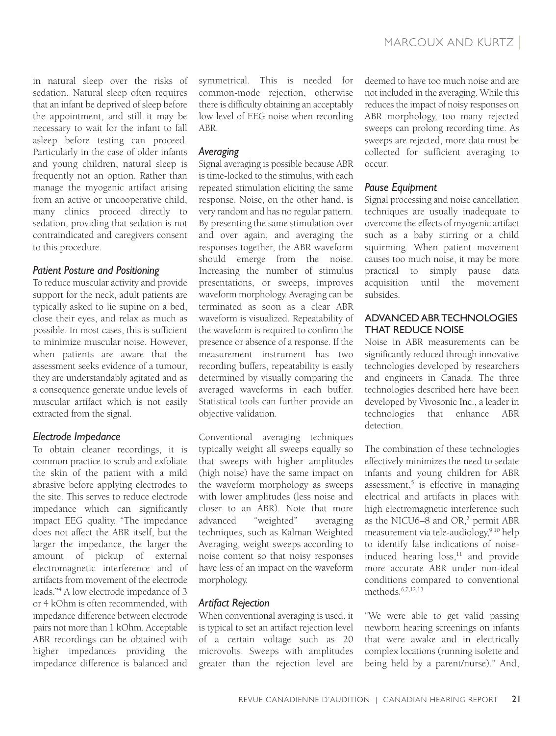in natural sleep over the risks of sedation. Natural sleep often requires that an infant be deprived of sleep before the appointment, and still it may be necessary to wait for the infant to fall asleep before testing can proceed. Particularly in the case of older infants and young children, natural sleep is frequently not an option. Rather than manage the myogenic artifact arising from an active or uncooperative child, many clinics proceed directly to sedation, providing that sedation is not contraindicated and caregivers consent to this procedure.

# *Patient Posture and Positioning*

To reduce muscular activity and provide support for the neck, adult patients are typically asked to lie supine on a bed, close their eyes, and relax as much as possible. In most cases, this is sufficient to minimize muscular noise. However, when patients are aware that the assessment seeks evidence of a tumour, they are understandably agitated and as a consequence generate undue levels of muscular artifact which is not easily extracted from the signal.

# *Electrode Impedance*

To obtain cleaner recordings, it is common practice to scrub and exfoliate the skin of the patient with a mild abrasive before applying electrodes to the site. This serves to reduce electrode impedance which can significantly impact EEG quality. "The impedance does not affect the ABR itself, but the larger the impedance, the larger the amount of pickup of external electromagnetic interference and of artifacts from movement of the electrode leads."4 A low electrode impedance of 3 or 4 kOhm is often recommended, with impedance difference between electrode pairs not more than 1 kOhm. Acceptable ABR recordings can be obtained with higher impedances providing the impedance difference is balanced and

symmetrical. This is needed for common-mode rejection, otherwise there is difficulty obtaining an acceptably low level of EEG noise when recording ABR.

### *Averaging*

Signal averaging is possible because ABR is time-locked to the stimulus, with each repeated stimulation eliciting the same response. Noise, on the other hand, is very random and has no regular pattern. By presenting the same stimulation over and over again, and averaging the responses together, the ABR waveform should emerge from the noise. Increasing the number of stimulus presentations, or sweeps, improves waveform morphology. Averaging can be terminated as soon as a clear ABR waveform is visualized. Repeatability of the waveform is required to confirm the presence or absence of a response. If the measurement instrument has two recording buffers, repeatability is easily determined by visually comparing the averaged waveforms in each buffer. Statistical tools can further provide an objective validation.

Conventional averaging techniques typically weight all sweeps equally so that sweeps with higher amplitudes (high noise) have the same impact on the waveform morphology as sweeps with lower amplitudes (less noise and closer to an ABR). Note that more advanced "weighted" averaging techniques, such as Kalman Weighted Averaging, weight sweeps according to noise content so that noisy responses have less of an impact on the waveform morphology.

# *Artifact Rejection*

When conventional averaging is used, it is typical to set an artifact rejection level of a certain voltage such as 20 microvolts. Sweeps with amplitudes greater than the rejection level are deemed to have too much noise and are not included in the averaging. While this reduces the impact of noisy responses on ABR morphology, too many rejected sweeps can prolong recording time. As sweeps are rejected, more data must be collected for sufficient averaging to occur.

#### *Pause Equipment*

Signal processing and noise cancellation techniques are usually inadequate to overcome the effects of myogenic artifact such as a baby stirring or a child squirming. When patient movement causes too much noise, it may be more practical to simply pause data acquisition until the movement subsides.

#### advanCed aBr teChnoLogies **THAT REDUCE NOISE**

Noise in ABR measurements can be significantly reduced through innovative technologies developed by researchers and engineers in Canada. The three technologies described here have been developed by Vivosonic Inc., a leader in technologies that enhance ABR detection.

The combination of these technologies effectively minimizes the need to sedate infants and young children for ABR assessment, $5$  is effective in managing electrical and artifacts in places with high electromagnetic interference such as the NICU6–8 and OR,<sup>2</sup> permit ABR measurement via tele-audiology,<sup>9,10</sup> help to identify false indications of noiseinduced hearing  $loss<sub>11</sub>$  and provide more accurate ABR under non-ideal conditions compared to conventional methods. $6,7,12,13$ 

"We were able to get valid passing newborn hearing screenings on infants that were awake and in electrically complex locations (running isolette and being held by a parent/nurse)." And,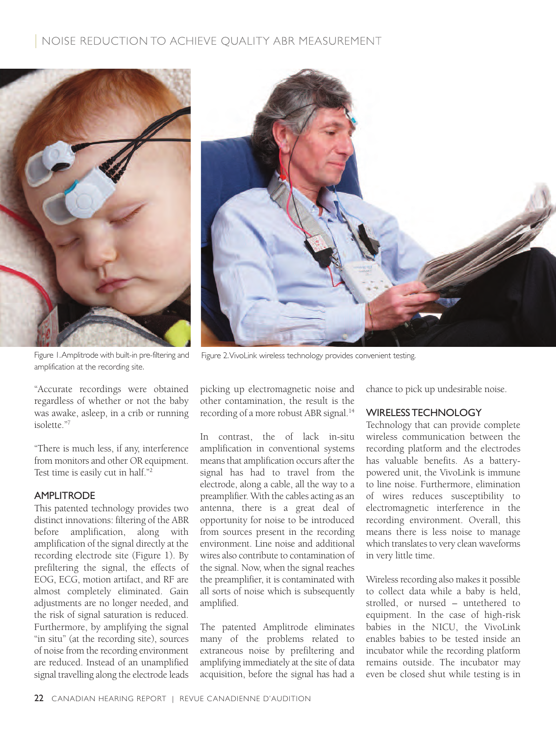# NOISE REDUCTION TO ACHIEVE QUALITY ABR MEASUREMENT



|

Figure 1. Amplitrode with built-in pre-filtering and amplification at the recording site.

"Accurate recordings were obtained regardless of whether or not the baby was awake, asleep, in a crib or running isolette."7

"There is much less, if any, interference from monitors and other OR equipment. Test time is easily cut in half."2

#### **AMPLITRODE**

This patented technology provides two distinct innovations: filtering of the ABR before amplification, along with amplification of the signal directly at the recording electrode site (Figure 1). By prefiltering the signal, the effects of EOG, ECG, motion artifact, and RF are almost completely eliminated. Gain adjustments are no longer needed, and the risk of signal saturation is reduced. Furthermore, by amplifying the signal "in situ" (at the recording site), sources of noise from the recording environment are reduced. Instead of an unamplified signal travelling along the electrode leads



Figure 2. Vivolink wireless technology provides convenient testing.

picking up electromagnetic noise and other contamination, the result is the recording of a more robust ABR signal.<sup>14</sup>

In contrast, the of lack in-situ amplification in conventional systems means that amplification occurs after the signal has had to travel from the electrode, along a cable, all the way to a preamplifier. With the cables acting as an antenna, there is a great deal of opportunity for noise to be introduced from sources present in the recording environment. Line noise and additional wires also contribute to contamination of the signal. Now, when the signal reaches the preamplifier, it is contaminated with all sorts of noise which is subsequently amplified.

The patented Amplitrode eliminates many of the problems related to extraneous noise by prefiltering and amplifying immediately at the site of data acquisition, before the signal has had a chance to pick up undesirable noise.

#### WireLess teChnoLogY

Technology that can provide complete wireless communication between the recording platform and the electrodes has valuable benefits. As a batterypowered unit, the VivoLink is immune to line noise. Furthermore, elimination of wires reduces susceptibility to electromagnetic interference in the recording environment. Overall, this means there is less noise to manage which translates to very clean waveforms in very little time.

Wireless recording also makes it possible to collect data while a baby is held, strolled, or nursed – untethered to equipment. In the case of high-risk babies in the NICU, the VivoLink enables babies to be tested inside an incubator while the recording platform remains outside. The incubator may even be closed shut while testing is in